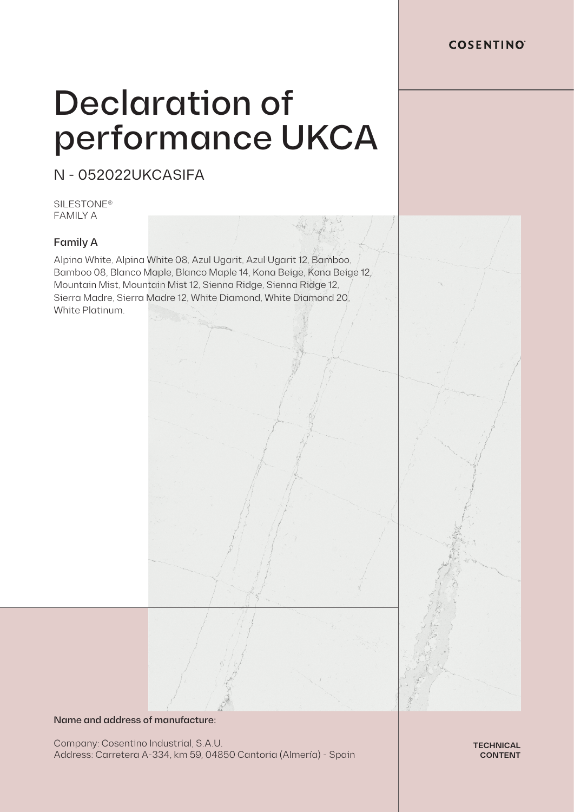# Declaration of performance UKCA

N - 052022UKCASIFA

SILESTONE® FAMILY A

## Family A

Alpina White, Alpina White 08, Azul Ugarit, Azul Ugarit 12, Bamboo, Bamboo 08, Blanco Maple, Blanco Maple 14, Kona Beige, Kona Beige 12, Mountain Mist, Mountain Mist 12, Sienna Ridge, Sienna Ridge 12, Sierra Madre, Sierra Madre 12, White Diamond, White Diamond 20, White Platinum.

### Name and address of manufacture:

Company: Cosentino Industrial, S.A.U. Address: Carretera A-334, km 59, 04850 Cantoria (Almería) - Spain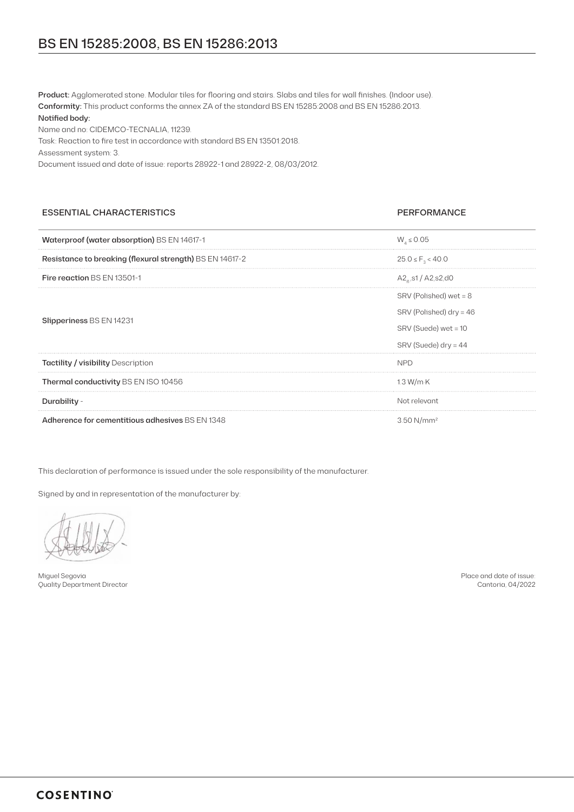Name and no: CIDEMCO-TECNALIA, 11239.

Task: Reaction to fire test in accordance with standard BS EN 13501:2018.

Assessment system: 3.

Document issued and date of issue: reports 28922-1 and 28922-2, 08/03/2012.

### ESSENTIAL CHARACTERISTICS PERFORMANCE

| Waterproof (water absorption) BS EN 14617-1              | $W_1 \le 0.05$                |
|----------------------------------------------------------|-------------------------------|
| Resistance to breaking (flexural strength) BS EN 14617-2 | $25.0 \le F_{3} < 40.0$       |
| <b>Fire reaction BS EN 13501-1</b>                       | $A2_{a}$ , s1 / $A2$ , s2, d0 |
| <b>Slipperiness BS EN 14231</b>                          | SRV (Polished) wet = 8        |
|                                                          | SRV (Polished) dry = 46       |
|                                                          | SRV (Suede) wet = 10          |
|                                                          | $SRV$ (Suede) dry = 44        |
| <b>Tactility / visibility Description</b>                | <b>NPD</b>                    |
| Thermal conductivity BS EN ISO 10456                     | 1.3 W/m K                     |
| Durability -                                             | Not relevant                  |
| Adherence for cementitious adhesives BS EN 1348          | 3.50 N/mm <sup>2</sup>        |

This declaration of performance is issued under the sole responsibility of the manufacturer.

Signed by and in representation of the manufacturer by:

Miguel Segovia Quality Department Director

Place and date of issue: Cantoria, 04/2022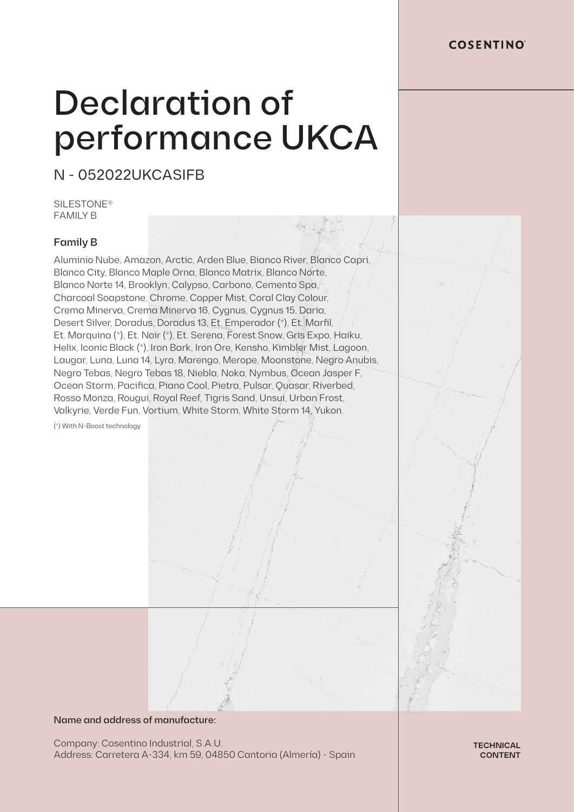# Declaration of performance UKCA

N - 052022UKCASIFB

**SILESTONE®** FAMILY B

## Family B

Aluminio Nube, Amazon, Arctic, Arden Blue, Bianco River, Blanco Capri, Blanco City, Blanco Maple Orna, Blanco Matrix, Blanco Norte, Blanco Norte 14, Brooklyn, Calypso, Carbono, Cemento Spa, Charcoal Soapstone, Chrome, Copper Mist, Coral Clay Colour, Crema Minerva, Crema Minerva 16, Cygnus, Cygnus 15, Daria, Desert Silver, Doradus, Doradus 13, Et. Emperador (\*), Et. Marfil, Et. Marquina (\*), Et. Noir (\*), Et. Serena, Forest Snow, Gris Expo, Haiku, Helix, Iconic Black (\*), Iron Bark, Iron Ore, Kensho, Kimbler Mist, Lagoon, Laugar, Luna, Luna 14, Lyra, Marengo, Merope, Moonstone, Negro Anubis, Negro Tebas, Negro Tebas 18, Niebla, Noka, Nymbus, Ocean Jasper F, Ocean Storm, Pacifica, Piano Cool, Pietra, Pulsar, Quasar, Riverbed, Rosso Monza, Rougui, Royal Reef, Tigris Sand, Unsui, Urban Frost, Valkyrie, Verde Fun, Vortium, White Storm, White Storm 14, Yukon.

(\*) With N-Boost technology

### Name and address of manufacture:

Company: Cosentino Industrial, S.A.U. Address: Carretera A-334, km 59, 04850 Cantoria (Almería) - Spain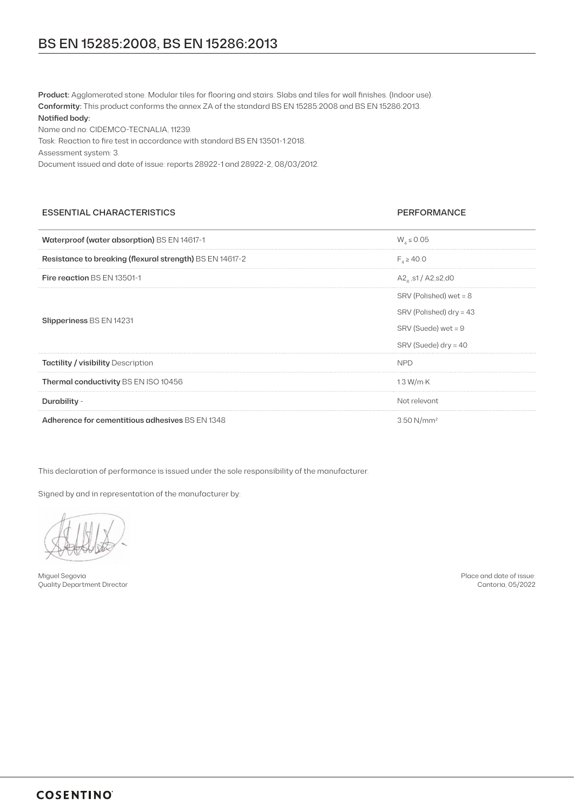Name and no: CIDEMCO-TECNALIA, 11239.

Task: Reaction to fire test in accordance with standard BS EN 13501-1:2018.

Assessment system: 3.

Document issued and date of issue: reports 28922-1 and 28922-2, 08/03/2012.

### ESSENTIAL CHARACTERISTICS PERFORMANCE

| Waterproof (water absorption) BS EN 14617-1              | $W_4 \le 0.05$               |
|----------------------------------------------------------|------------------------------|
| Resistance to breaking (flexural strength) BS EN 14617-2 | $F_{1} \ge 40.0$             |
| Fire reaction BS EN 13501-1                              | $A2_{\text{a}}$ ,s1/A2,s2,d0 |
| Slipperiness BS EN 14231                                 | SRV (Polished) wet = 8       |
|                                                          | SRV (Polished) dry = 43      |
|                                                          | $SRV$ (Suede) wet = 9        |
|                                                          | SRV (Suede) dry = 40         |
| <b>Tactility / visibility Description</b>                | <b>NPD</b>                   |
| Thermal conductivity BS EN ISO 10456                     | 1.3 W/m K                    |
| Durability -                                             | Not relevant                 |
| Adherence for cementitious adhesives BS EN 1348          | 3.50 N/mm <sup>2</sup>       |

This declaration of performance is issued under the sole responsibility of the manufacturer.

Signed by and in representation of the manufacturer by:

Miguel Segovia Quality Department Director

Place and date of issue: Cantoria, 05/2022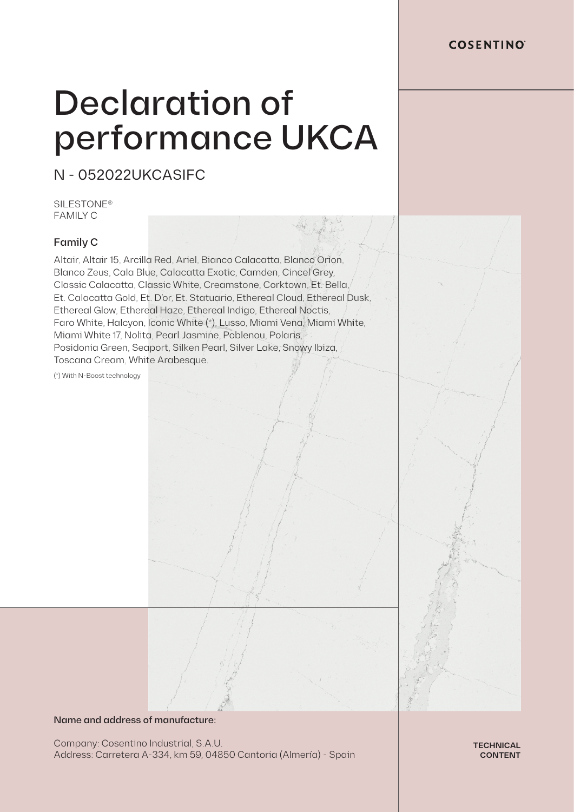# Declaration of performance UKCA

N - 052022UKCASIFC

**SILESTONE®** FAMILY C

## Family C

Altair, Altair 15, Arcilla Red, Ariel, Bianco Calacatta, Blanco Orion, Blanco Zeus, Cala Blue, Calacatta Exotic, Camden, Cincel Grey, Classic Calacatta, Classic White, Creamstone, Corktown, Et. Bella, Et. Calacatta Gold, Et. D'or, Et. Statuario, Ethereal Cloud, Ethereal Dusk, Ethereal Glow, Ethereal Haze, Ethereal Indigo, Ethereal Noctis, Faro White, Halcyon, Iconic White (\*), Lusso, Miami Vena, Miami White, Miami White 17, Nolita, Pearl Jasmine, Poblenou, Polaris, Posidonia Green, Seaport, Silken Pearl, Silver Lake, Snowy Ibiza, Toscana Cream, White Arabesque.

(\*) With N-Boost technology

### Name and address of manufacture:

Company: Cosentino Industrial, S.A.U. Address: Carretera A-334, km 59, 04850 Cantoria (Almería) - Spain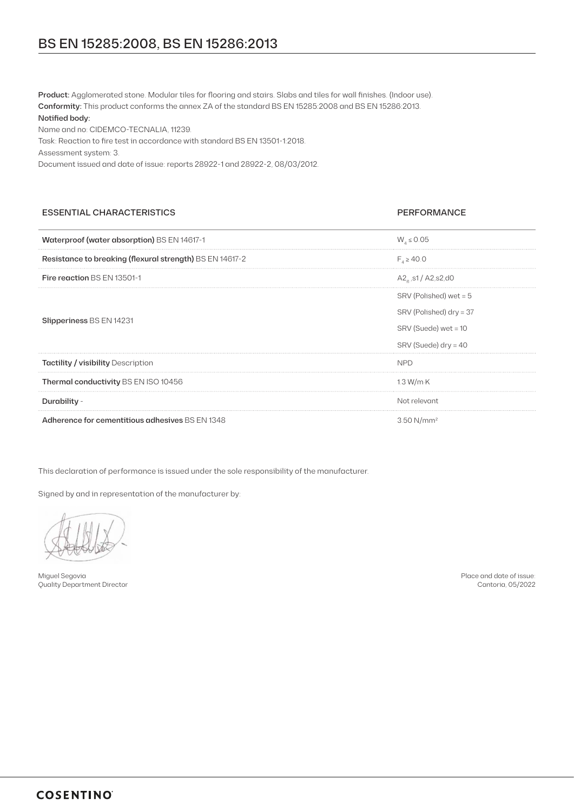Name and no: CIDEMCO-TECNALIA, 11239.

Task: Reaction to fire test in accordance with standard BS EN 13501-1:2018.

Assessment system: 3.

Document issued and date of issue: reports 28922-1 and 28922-2, 08/03/2012.

### ESSENTIAL CHARACTERISTICS PERFORMANCE

| Waterproof (water absorption) BS EN 14617-1              | $W_4 \le 0.05$                |
|----------------------------------------------------------|-------------------------------|
| Resistance to breaking (flexural strength) BS EN 14617-2 | $F_{1} \ge 40.0$              |
| Fire reaction BS EN 13501-1                              | $A2_{a}$ , s1 / $A2$ , s2, d0 |
| Slipperiness BS EN 14231                                 | SRV (Polished) wet = 5        |
|                                                          | SRV (Polished) dry = 37       |
|                                                          | SRV (Suede) wet = 10          |
|                                                          | $SRV$ (Suede) dry = 40        |
| <b>Tactility / visibility Description</b>                | <b>NPD</b>                    |
| Thermal conductivity BS EN ISO 10456                     | 1.3 W/m K                     |
| Durability -                                             | Not relevant                  |
| Adherence for cementitious adhesives BS EN 1348          | 3.50 $N/mm^2$                 |

This declaration of performance is issued under the sole responsibility of the manufacturer.

Signed by and in representation of the manufacturer by:

Miguel Segovia Quality Department Director

Place and date of issue: Cantoria, 05/2022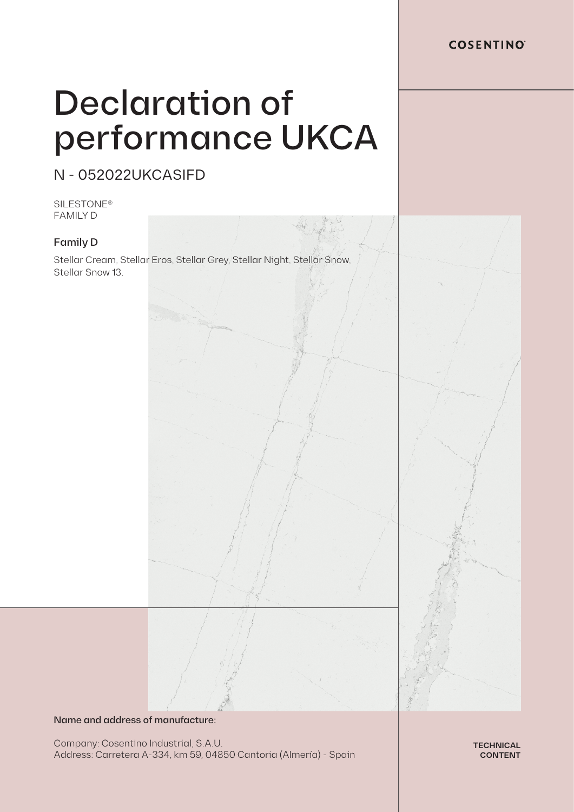# Declaration of performance UKCA

N - 052022UKCASIFD

SILESTONE® FAMILY D

## Family D

Stellar Cream, Stellar Eros, Stellar Grey, Stellar Night, Stellar Snow, Stellar Snow 13.

# Name and address of manufacture:

Company: Cosentino Industrial, S.A.U. Address: Carretera A-334, km 59, 04850 Cantoria (Almería) - Spain